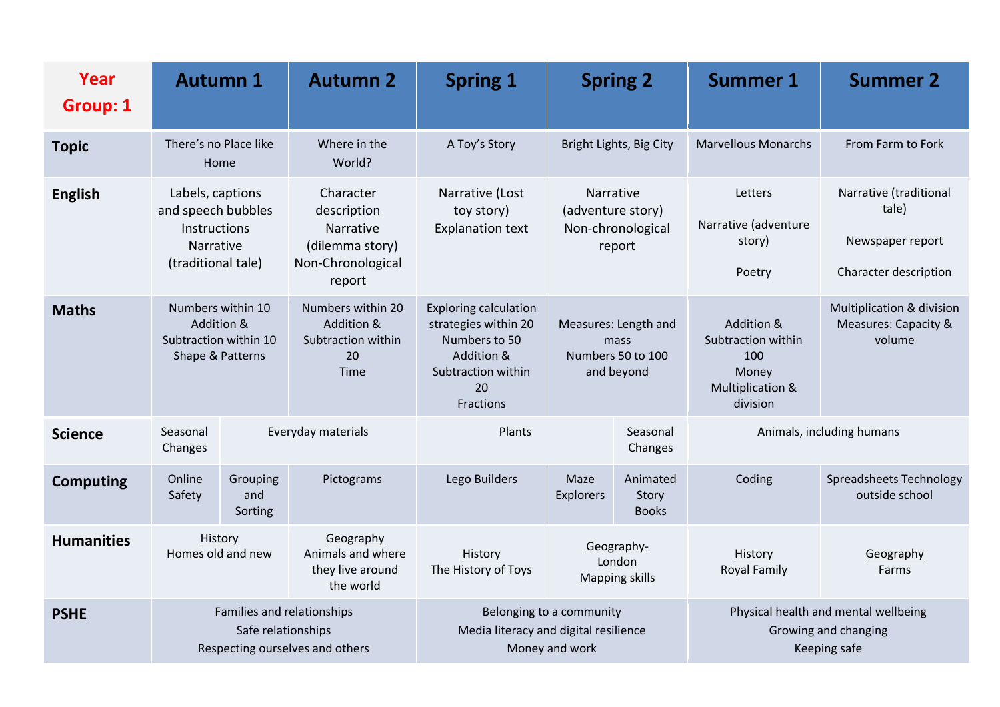| Year<br><b>Group: 1</b> | <b>Autumn 1</b>                                                                                  |                            | <b>Autumn 2</b>                                                                         | <b>Spring 1</b>                                                                                                              |                                                                 | <b>Spring 2</b>                                                              | <b>Summer 1</b>                                                                  | <b>Summer 2</b>                                                              |
|-------------------------|--------------------------------------------------------------------------------------------------|----------------------------|-----------------------------------------------------------------------------------------|------------------------------------------------------------------------------------------------------------------------------|-----------------------------------------------------------------|------------------------------------------------------------------------------|----------------------------------------------------------------------------------|------------------------------------------------------------------------------|
| <b>Topic</b>            | There's no Place like<br>Home                                                                    |                            | Where in the<br>World?                                                                  | A Toy's Story                                                                                                                | Bright Lights, Big City                                         |                                                                              | <b>Marvellous Monarchs</b>                                                       | From Farm to Fork                                                            |
| <b>English</b>          | Labels, captions<br>and speech bubbles<br>Instructions<br><b>Narrative</b><br>(traditional tale) |                            | Character<br>description<br>Narrative<br>(dilemma story)<br>Non-Chronological<br>report | Narrative (Lost<br>toy story)<br><b>Explanation text</b>                                                                     | Narrative<br>(adventure story)<br>Non-chronological<br>report   |                                                                              | Letters<br>Narrative (adventure<br>story)<br>Poetry                              | Narrative (traditional<br>tale)<br>Newspaper report<br>Character description |
| <b>Maths</b>            | Numbers within 10<br>Addition &<br>Subtraction within 10<br>Shape & Patterns                     |                            | Numbers within 20<br>Addition &<br>Subtraction within<br>20<br><b>Time</b>              | <b>Exploring calculation</b><br>strategies within 20<br>Numbers to 50<br>Addition &<br>Subtraction within<br>20<br>Fractions | Measures: Length and<br>mass<br>Numbers 50 to 100<br>and beyond |                                                                              | Addition &<br>Subtraction within<br>100<br>Money<br>Multiplication &<br>division | Multiplication & division<br>Measures: Capacity &<br>volume                  |
| <b>Science</b>          | Seasonal<br>Changes                                                                              |                            | Plants<br>Everyday materials                                                            |                                                                                                                              | Seasonal<br>Changes                                             |                                                                              | Animals, including humans                                                        |                                                                              |
| <b>Computing</b>        | Online<br>Safety                                                                                 | Grouping<br>and<br>Sorting | Pictograms                                                                              | Lego Builders                                                                                                                | Maze<br><b>Explorers</b>                                        | Animated<br>Story<br><b>Books</b>                                            | Coding                                                                           | Spreadsheets Technology<br>outside school                                    |
| <b>Humanities</b>       | History<br>Homes old and new                                                                     |                            | Geography<br>Animals and where<br>they live around<br>the world                         | History<br>The History of Toys                                                                                               | Geography-<br>London<br><b>Mapping skills</b>                   |                                                                              | History<br><b>Royal Family</b>                                                   | Geography<br>Farms                                                           |
| <b>PSHE</b>             | Families and relationships<br>Safe relationships<br>Respecting ourselves and others              |                            |                                                                                         | Belonging to a community<br>Media literacy and digital resilience<br>Money and work                                          |                                                                 | Physical health and mental wellbeing<br>Growing and changing<br>Keeping safe |                                                                                  |                                                                              |